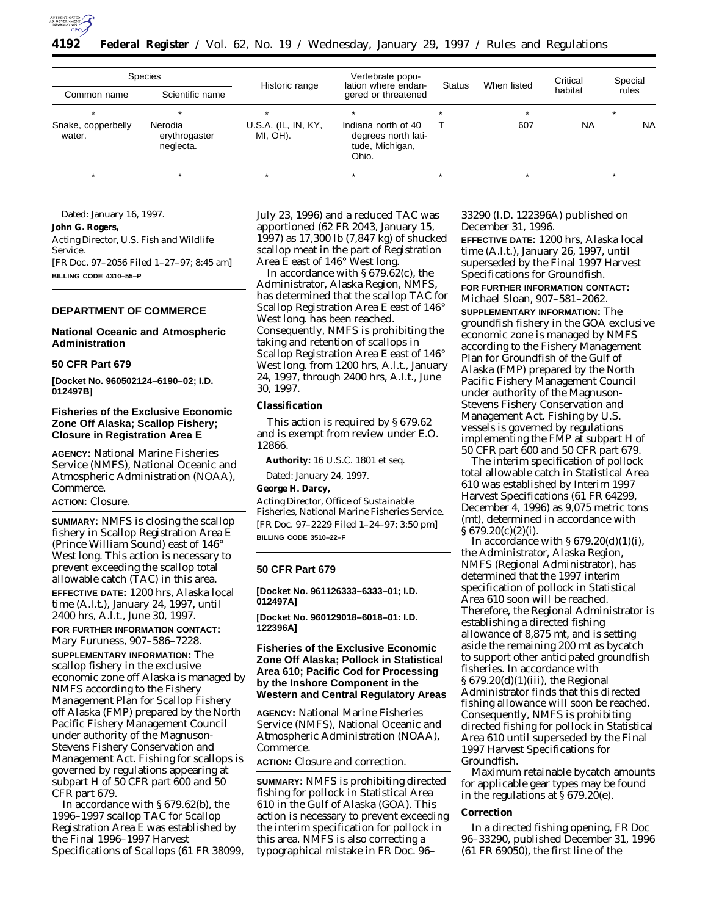

**4192 Federal Register** / Vol. 62, No. 19 / Wednesday, January 29, 1997 / Rules and Regulations

| Species                      |                                       |                                 | Vertebrate popu-                                                       |               |             | Critical  | Special   |
|------------------------------|---------------------------------------|---------------------------------|------------------------------------------------------------------------|---------------|-------------|-----------|-----------|
| Common name                  | Scientific name                       | Historic range                  | lation where endan-<br>gered or threatened                             | <b>Status</b> | When listed | habitat   | rules     |
| ÷                            |                                       |                                 | ÷                                                                      |               | $\star$     |           | $\star$   |
| Snake, copperbelly<br>water. | Nerodia<br>erythrogaster<br>neglecta. | U.S.A. (IL, IN, KY,<br>MI, OH). | Indiana north of 40<br>degrees north lati-<br>tude, Michigan,<br>Ohio. |               | 607         | <b>NA</b> | <b>NA</b> |
|                              |                                       | $\star$                         | $\star$                                                                |               | $\star$     |           | $\star$   |

Dated: January 16, 1997.

**John G. Rogers,** *Acting Director, U.S. Fish and Wildlife Service.* [FR Doc. 97–2056 Filed 1–27–97; 8:45 am] **BILLING CODE 4310–55–P**

## **DEPARTMENT OF COMMERCE**

#### **National Oceanic and Atmospheric Administration**

#### **50 CFR Part 679**

**[Docket No. 960502124–6190–02; I.D. 012497B]**

## **Fisheries of the Exclusive Economic Zone Off Alaska; Scallop Fishery; Closure in Registration Area E**

**AGENCY:** National Marine Fisheries Service (NMFS), National Oceanic and Atmospheric Administration (NOAA), Commerce.

## **ACTION:** Closure.

**SUMMARY:** NMFS is closing the scallop fishery in Scallop Registration Area E (Prince William Sound) east of 146° West long. This action is necessary to prevent exceeding the scallop total allowable catch (TAC) in this area. **EFFECTIVE DATE:** 1200 hrs, Alaska local time (A.l.t.), January 24, 1997, until 2400 hrs, A.l.t., June 30, 1997.

**FOR FURTHER INFORMATION CONTACT:** Mary Furuness, 907–586–7228.

**SUPPLEMENTARY INFORMATION:** The scallop fishery in the exclusive economic zone off Alaska is managed by NMFS according to the Fishery Management Plan for Scallop Fishery off Alaska (FMP) prepared by the North Pacific Fishery Management Council under authority of the Magnuson-Stevens Fishery Conservation and Management Act. Fishing for scallops is governed by regulations appearing at subpart H of 50 CFR part 600 and 50 CFR part 679.

In accordance with § 679.62(b), the 1996–1997 scallop TAC for Scallop Registration Area E was established by the Final 1996–1997 Harvest Specifications of Scallops (61 FR 38099, July 23, 1996) and a reduced TAC was apportioned (62 FR 2043, January 15, 1997) as 17,300 lb (7,847 kg) of shucked scallop meat in the part of Registration Area E east of 146° West long.

In accordance with § 679.62(c), the Administrator, Alaska Region, NMFS, has determined that the scallop TAC for Scallop Registration Area E east of 146° West long. has been reached. Consequently, NMFS is prohibiting the taking and retention of scallops in Scallop Registration Area E east of 146° West long. from 1200 hrs, A.l.t., January 24, 1997, through 2400 hrs, A.l.t., June 30, 1997.

#### **Classification**

This action is required by § 679.62 and is exempt from review under E.O. 12866.

**Authority:** 16 U.S.C. 1801 *et seq*.

Dated: January 24, 1997.

**George H. Darcy,**

*Acting Director, Office of Sustainable Fisheries, National Marine Fisheries Service.* [FR Doc. 97–2229 Filed 1–24–97; 3:50 pm] **BILLING CODE 3510–22–F**

#### **50 CFR Part 679**

**[Docket No. 961126333–6333–01; I.D. 012497A]**

**[Docket No. 960129018–6018–01: I.D. 122396A]**

## **Fisheries of the Exclusive Economic Zone Off Alaska; Pollock in Statistical Area 610; Pacific Cod for Processing by the Inshore Component in the Western and Central Regulatory Areas**

**AGENCY:** National Marine Fisheries Service (NMFS), National Oceanic and Atmospheric Administration (NOAA), Commerce.

# **ACTION:** Closure and correction.

**SUMMARY:** NMFS is prohibiting directed fishing for pollock in Statistical Area 610 in the Gulf of Alaska (GOA). This action is necessary to prevent exceeding the interim specification for pollock in this area. NMFS is also correcting a typographical mistake in FR Doc. 96–

33290 (I.D. 122396A) published on December 31, 1996.

**EFFECTIVE DATE:** 1200 hrs, Alaska local time (A.l.t.), January 26, 1997, until superseded by the Final 1997 Harvest Specifications for Groundfish. **FOR FURTHER INFORMATION CONTACT:** Michael Sloan, 907–581–2062.

**SUPPLEMENTARY INFORMATION:** The groundfish fishery in the GOA exclusive economic zone is managed by NMFS according to the Fishery Management Plan for Groundfish of the Gulf of Alaska (FMP) prepared by the North Pacific Fishery Management Council under authority of the Magnuson-Stevens Fishery Conservation and Management Act. Fishing by U.S. vessels is governed by regulations implementing the FMP at subpart H of 50 CFR part 600 and 50 CFR part 679.

The interim specification of pollock total allowable catch in Statistical Area 610 was established by Interim 1997 Harvest Specifications (61 FR 64299, December 4, 1996) as 9,075 metric tons (mt), determined in accordance with  $\S 679.20(c)(2)(i)$ .

In accordance with  $\S 679.20(d)(1)(i)$ , the Administrator, Alaska Region, NMFS (Regional Administrator), has determined that the 1997 interim specification of pollock in Statistical Area 610 soon will be reached. Therefore, the Regional Administrator is establishing a directed fishing allowance of 8,875 mt, and is setting aside the remaining 200 mt as bycatch to support other anticipated groundfish fisheries. In accordance with § 679.20(d)(1)(iii), the Regional Administrator finds that this directed fishing allowance will soon be reached. Consequently, NMFS is prohibiting directed fishing for pollock in Statistical Area 610 until superseded by the Final 1997 Harvest Specifications for Groundfish.

Maximum retainable bycatch amounts for applicable gear types may be found in the regulations at § 679.20(e).

#### **Correction**

In a directed fishing opening, FR Doc 96–33290, published December 31, 1996 (61 FR 69050), the first line of the